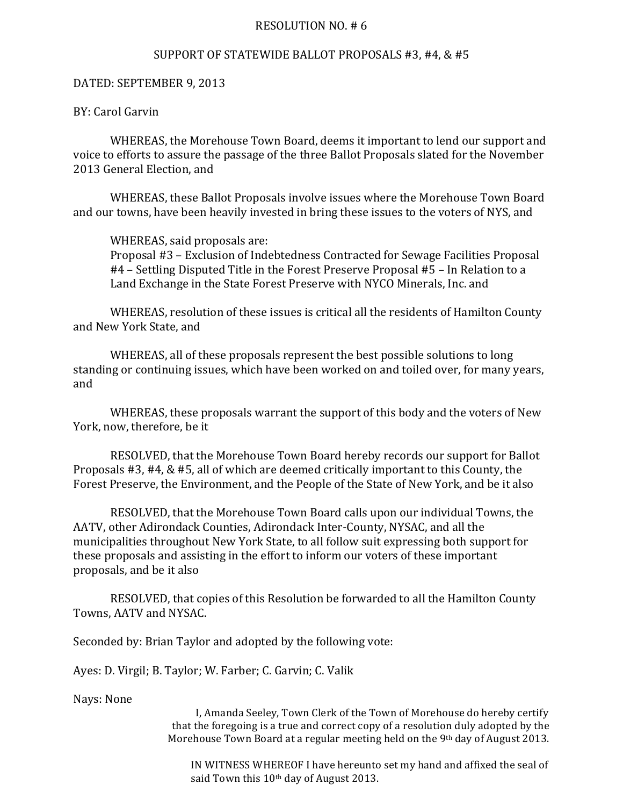## RESOLUTION NO.  $# 6$

## SUPPORT OF STATEWIDE BALLOT PROPOSALS #3, #4, & #5

## DATED: SEPTEMBER 9, 2013

## BY: Carol Garvin

WHEREAS, the Morehouse Town Board, deems it important to lend our support and voice to efforts to assure the passage of the three Ballot Proposals slated for the November 2013 General Election, and

WHEREAS, these Ballot Proposals involve issues where the Morehouse Town Board and our towns, have been heavily invested in bring these issues to the voters of NYS, and

WHEREAS, said proposals are: Proposal #3 – Exclusion of Indebtedness Contracted for Sewage Facilities Proposal #4 – Settling Disputed Title in the Forest Preserve Proposal #5 – In Relation to a Land Exchange in the State Forest Preserve with NYCO Minerals, Inc. and

WHEREAS, resolution of these issues is critical all the residents of Hamilton County and New York State, and

WHEREAS, all of these proposals represent the best possible solutions to long standing or continuing issues, which have been worked on and toiled over, for many years, and

WHEREAS, these proposals warrant the support of this body and the voters of New York, now, therefore, be it

RESOLVED, that the Morehouse Town Board hereby records our support for Ballot Proposals  $#3, #4, \& #5$ , all of which are deemed critically important to this County, the Forest Preserve, the Environment, and the People of the State of New York, and be it also

RESOLVED, that the Morehouse Town Board calls upon our individual Towns, the AATV, other Adirondack Counties, Adirondack Inter-County, NYSAC, and all the municipalities throughout New York State, to all follow suit expressing both support for these proposals and assisting in the effort to inform our voters of these important proposals, and be it also

RESOLVED, that copies of this Resolution be forwarded to all the Hamilton County Towns, AATV and NYSAC.

Seconded by: Brian Taylor and adopted by the following vote:

Ayes: D. Virgil; B. Taylor; W. Farber; C. Garvin; C. Valik

Nays: None

I, Amanda Seeley, Town Clerk of the Town of Morehouse do hereby certify that the foregoing is a true and correct copy of a resolution duly adopted by the Morehouse Town Board at a regular meeting held on the 9th day of August 2013.

IN WITNESS WHEREOF I have hereunto set my hand and affixed the seal of said Town this 10<sup>th</sup> day of August 2013.